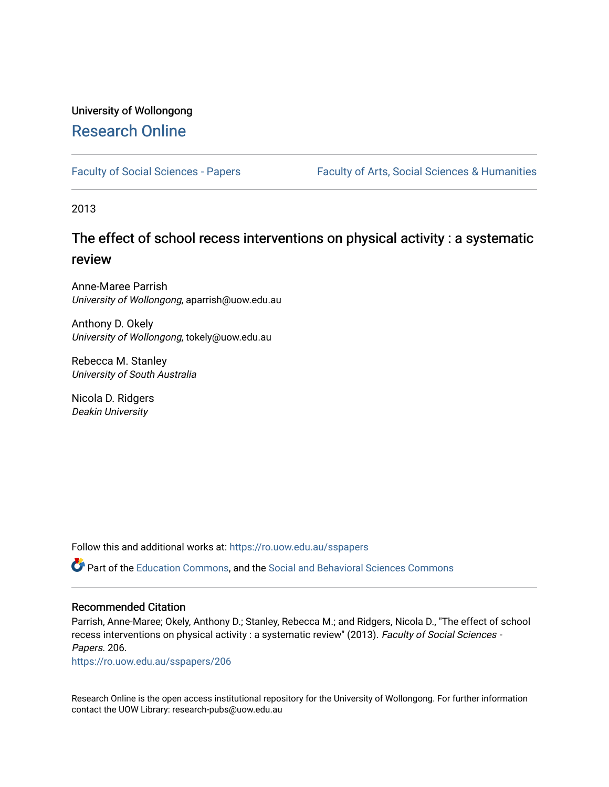# University of Wollongong [Research Online](https://ro.uow.edu.au/)

[Faculty of Social Sciences - Papers](https://ro.uow.edu.au/sspapers) Faculty of Arts, Social Sciences & Humanities

2013

# The effect of school recess interventions on physical activity : a systematic review

Anne-Maree Parrish University of Wollongong, aparrish@uow.edu.au

Anthony D. Okely University of Wollongong, tokely@uow.edu.au

Rebecca M. Stanley University of South Australia

Nicola D. Ridgers Deakin University

Follow this and additional works at: [https://ro.uow.edu.au/sspapers](https://ro.uow.edu.au/sspapers?utm_source=ro.uow.edu.au%2Fsspapers%2F206&utm_medium=PDF&utm_campaign=PDFCoverPages) 

Part of the [Education Commons](http://network.bepress.com/hgg/discipline/784?utm_source=ro.uow.edu.au%2Fsspapers%2F206&utm_medium=PDF&utm_campaign=PDFCoverPages), and the [Social and Behavioral Sciences Commons](http://network.bepress.com/hgg/discipline/316?utm_source=ro.uow.edu.au%2Fsspapers%2F206&utm_medium=PDF&utm_campaign=PDFCoverPages) 

#### Recommended Citation

Parrish, Anne-Maree; Okely, Anthony D.; Stanley, Rebecca M.; and Ridgers, Nicola D., "The effect of school recess interventions on physical activity : a systematic review" (2013). Faculty of Social Sciences -Papers. 206.

[https://ro.uow.edu.au/sspapers/206](https://ro.uow.edu.au/sspapers/206?utm_source=ro.uow.edu.au%2Fsspapers%2F206&utm_medium=PDF&utm_campaign=PDFCoverPages) 

Research Online is the open access institutional repository for the University of Wollongong. For further information contact the UOW Library: research-pubs@uow.edu.au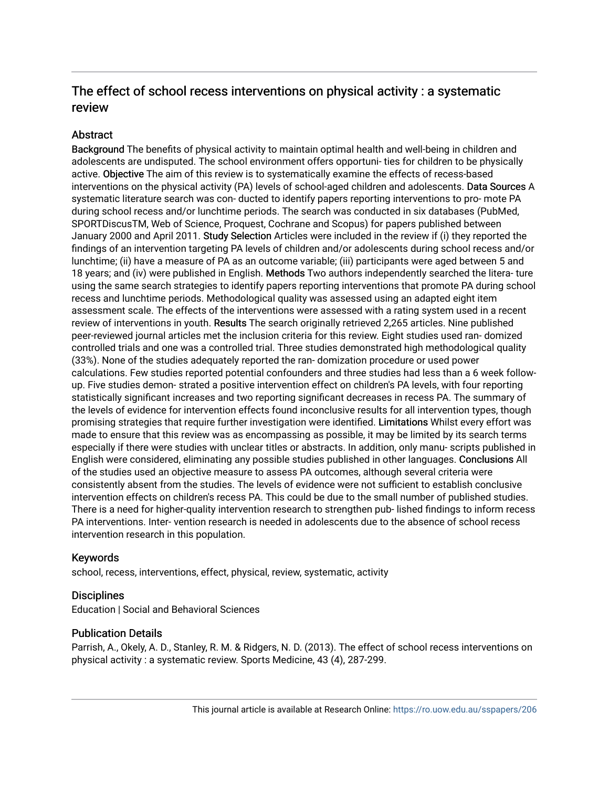# The effect of school recess interventions on physical activity : a systematic review

#### **Abstract**

Background The benefits of physical activity to maintain optimal health and well-being in children and adolescents are undisputed. The school environment offers opportuni- ties for children to be physically active. Objective The aim of this review is to systematically examine the effects of recess-based interventions on the physical activity (PA) levels of school-aged children and adolescents. Data Sources A systematic literature search was con- ducted to identify papers reporting interventions to pro- mote PA during school recess and/or lunchtime periods. The search was conducted in six databases (PubMed, SPORTDiscusTM, Web of Science, Proquest, Cochrane and Scopus) for papers published between January 2000 and April 2011. Study Selection Articles were included in the review if (i) they reported the findings of an intervention targeting PA levels of children and/or adolescents during school recess and/or lunchtime; (ii) have a measure of PA as an outcome variable; (iii) participants were aged between 5 and 18 years; and (iv) were published in English. Methods Two authors independently searched the litera- ture using the same search strategies to identify papers reporting interventions that promote PA during school recess and lunchtime periods. Methodological quality was assessed using an adapted eight item assessment scale. The effects of the interventions were assessed with a rating system used in a recent review of interventions in youth. Results The search originally retrieved 2,265 articles. Nine published peer-reviewed journal articles met the inclusion criteria for this review. Eight studies used ran- domized controlled trials and one was a controlled trial. Three studies demonstrated high methodological quality (33%). None of the studies adequately reported the ran- domization procedure or used power calculations. Few studies reported potential confounders and three studies had less than a 6 week followup. Five studies demon- strated a positive intervention effect on children's PA levels, with four reporting statistically significant increases and two reporting significant decreases in recess PA. The summary of the levels of evidence for intervention effects found inconclusive results for all intervention types, though promising strategies that require further investigation were identified. Limitations Whilst every effort was made to ensure that this review was as encompassing as possible, it may be limited by its search terms especially if there were studies with unclear titles or abstracts. In addition, only manu- scripts published in English were considered, eliminating any possible studies published in other languages. Conclusions All of the studies used an objective measure to assess PA outcomes, although several criteria were consistently absent from the studies. The levels of evidence were not sufficient to establish conclusive intervention effects on children's recess PA. This could be due to the small number of published studies. There is a need for higher-quality intervention research to strengthen pub- lished findings to inform recess PA interventions. Inter- vention research is needed in adolescents due to the absence of school recess intervention research in this population.

#### Keywords

school, recess, interventions, effect, physical, review, systematic, activity

#### **Disciplines**

Education | Social and Behavioral Sciences

#### Publication Details

Parrish, A., Okely, A. D., Stanley, R. M. & Ridgers, N. D. (2013). The effect of school recess interventions on physical activity : a systematic review. Sports Medicine, 43 (4), 287-299.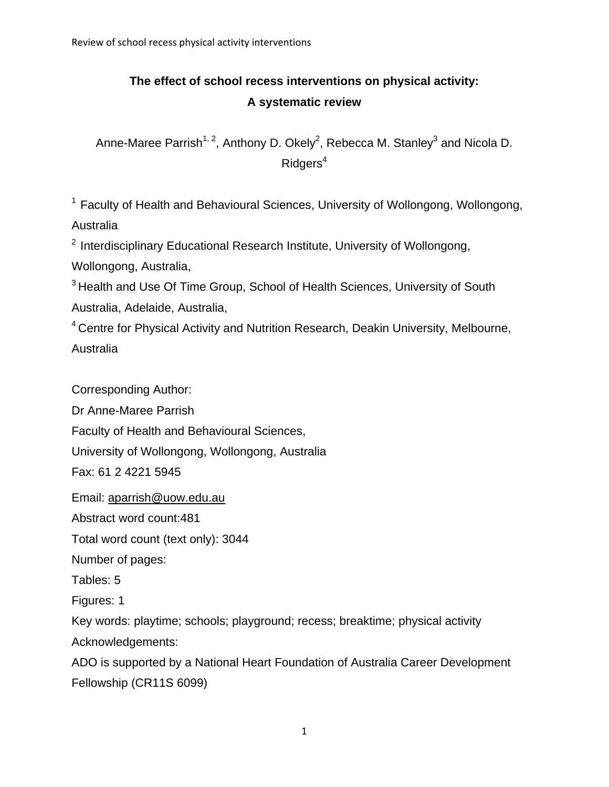# **The effect of school recess interventions on physical activity: A systematic review**

Anne-Maree Parrish<sup>1, 2</sup>, Anthony D. Okely<sup>2</sup>, Rebecca M. Stanley<sup>3</sup> and Nicola D.  $Ridgers<sup>4</sup>$ 

<sup>1</sup> Faculty of Health and Behavioural Sciences, University of Wollongong, Wollongong, Australia

<sup>2</sup> Interdisciplinary Educational Research Institute, University of Wollongong,

Wollongong, Australia,

<sup>3</sup> Health and Use Of Time Group, School of Health Sciences, University of South Australia, Adelaide, Australia,

<sup>4</sup> Centre for Physical Activity and Nutrition Research, Deakin University, Melbourne, Australia

Corresponding Author:

Dr Anne-Maree Parrish

Faculty of Health and Behavioural Sciences,

University of Wollongong, Wollongong, Australia

Fax: 61 2 4221 5945

Email: aparrish@uow.edu.au

Abstract word count:481

Total word count (text only): 3044

Number of pages:

Tables: 5

Figures: 1

Key words: playtime; schools; playground; recess; breaktime; physical activity

Acknowledgements:

ADO is supported by a National Heart Foundation of Australia Career Development Fellowship (CR11S 6099)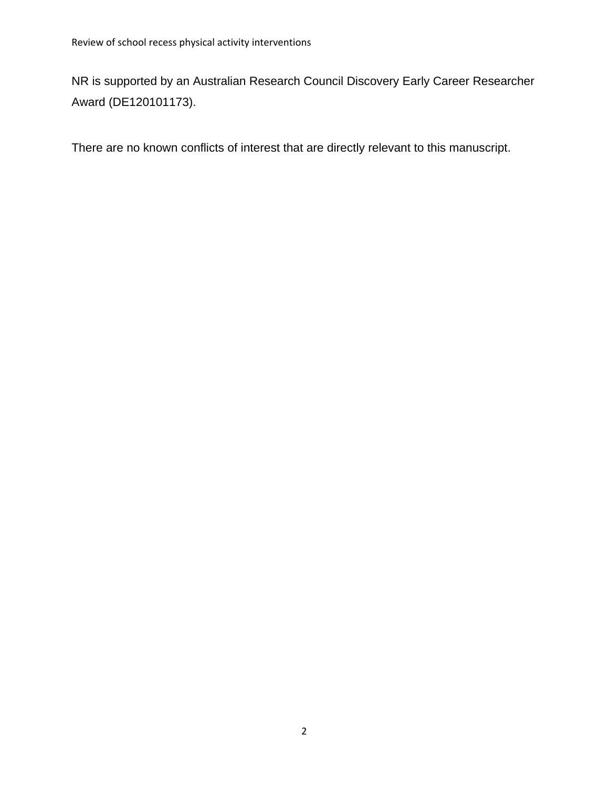NR is supported by an Australian Research Council Discovery Early Career Researcher Award (DE120101173).

There are no known conflicts of interest that are directly relevant to this manuscript.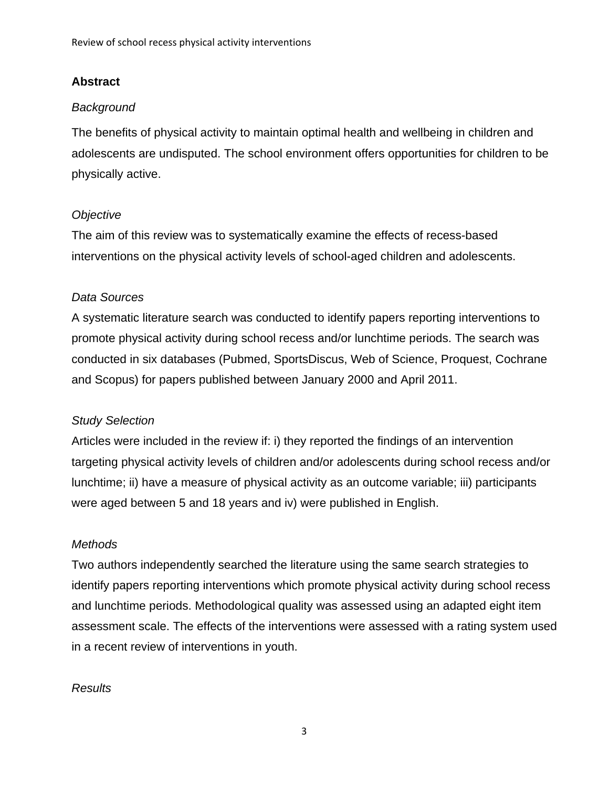## **Abstract**

## *Background*

The benefits of physical activity to maintain optimal health and wellbeing in children and adolescents are undisputed. The school environment offers opportunities for children to be physically active.

## *Objective*

The aim of this review was to systematically examine the effects of recess-based interventions on the physical activity levels of school-aged children and adolescents.

## *Data Sources*

A systematic literature search was conducted to identify papers reporting interventions to promote physical activity during school recess and/or lunchtime periods. The search was conducted in six databases (Pubmed, SportsDiscus, Web of Science, Proquest, Cochrane and Scopus) for papers published between January 2000 and April 2011.

## *Study Selection*

Articles were included in the review if: i) they reported the findings of an intervention targeting physical activity levels of children and/or adolescents during school recess and/or lunchtime; ii) have a measure of physical activity as an outcome variable; iii) participants were aged between 5 and 18 years and iv) were published in English.

### *Methods*

Two authors independently searched the literature using the same search strategies to identify papers reporting interventions which promote physical activity during school recess and lunchtime periods. Methodological quality was assessed using an adapted eight item assessment scale. The effects of the interventions were assessed with a rating system used in a recent review of interventions in youth.

### *Results*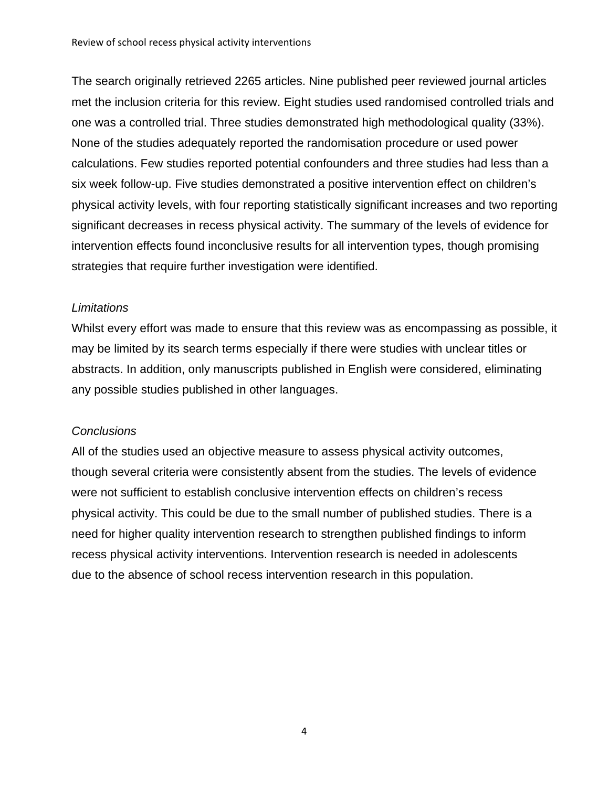The search originally retrieved 2265 articles. Nine published peer reviewed journal articles met the inclusion criteria for this review. Eight studies used randomised controlled trials and one was a controlled trial. Three studies demonstrated high methodological quality (33%). None of the studies adequately reported the randomisation procedure or used power calculations. Few studies reported potential confounders and three studies had less than a six week follow-up. Five studies demonstrated a positive intervention effect on children's physical activity levels, with four reporting statistically significant increases and two reporting significant decreases in recess physical activity. The summary of the levels of evidence for intervention effects found inconclusive results for all intervention types, though promising strategies that require further investigation were identified.

#### *Limitations*

Whilst every effort was made to ensure that this review was as encompassing as possible, it may be limited by its search terms especially if there were studies with unclear titles or abstracts. In addition, only manuscripts published in English were considered, eliminating any possible studies published in other languages.

#### *Conclusions*

All of the studies used an objective measure to assess physical activity outcomes, though several criteria were consistently absent from the studies. The levels of evidence were not sufficient to establish conclusive intervention effects on children's recess physical activity. This could be due to the small number of published studies. There is a need for higher quality intervention research to strengthen published findings to inform recess physical activity interventions. Intervention research is needed in adolescents due to the absence of school recess intervention research in this population.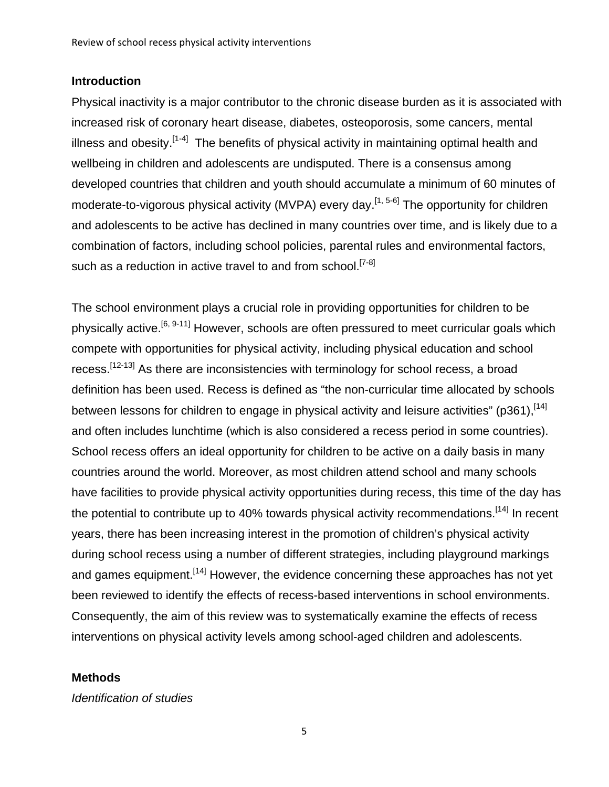#### **Introduction**

Physical inactivity is a major contributor to the chronic disease burden as it is associated with increased risk of coronary heart disease, diabetes, osteoporosis, some cancers, mental illness and obesity.<sup>[1-4]</sup> The benefits of physical activity in maintaining optimal health and wellbeing in children and adolescents are undisputed. There is a consensus among developed countries that children and youth should accumulate a minimum of 60 minutes of moderate-to-vigorous physical activity (MVPA) every day.<sup>[1, 5-6]</sup> The opportunity for children and adolescents to be active has declined in many countries over time, and is likely due to a combination of factors, including school policies, parental rules and environmental factors, such as a reduction in active travel to and from school.<sup>[7-8]</sup>

The school environment plays a crucial role in providing opportunities for children to be physically active.<sup>[6, 9-11]</sup> However, schools are often pressured to meet curricular goals which compete with opportunities for physical activity, including physical education and school recess.<sup>[12-13]</sup> As there are inconsistencies with terminology for school recess, a broad definition has been used. Recess is defined as "the non-curricular time allocated by schools between lessons for children to engage in physical activity and leisure activities" (p361),  $[14]$ and often includes lunchtime (which is also considered a recess period in some countries). School recess offers an ideal opportunity for children to be active on a daily basis in many countries around the world. Moreover, as most children attend school and many schools have facilities to provide physical activity opportunities during recess, this time of the day has the potential to contribute up to 40% towards physical activity recommendations.<sup>[14]</sup> In recent years, there has been increasing interest in the promotion of children's physical activity during school recess using a number of different strategies, including playground markings and games equipment.<sup>[14]</sup> However, the evidence concerning these approaches has not yet been reviewed to identify the effects of recess-based interventions in school environments. Consequently, the aim of this review was to systematically examine the effects of recess interventions on physical activity levels among school-aged children and adolescents.

#### **Methods**

*Identification of studies*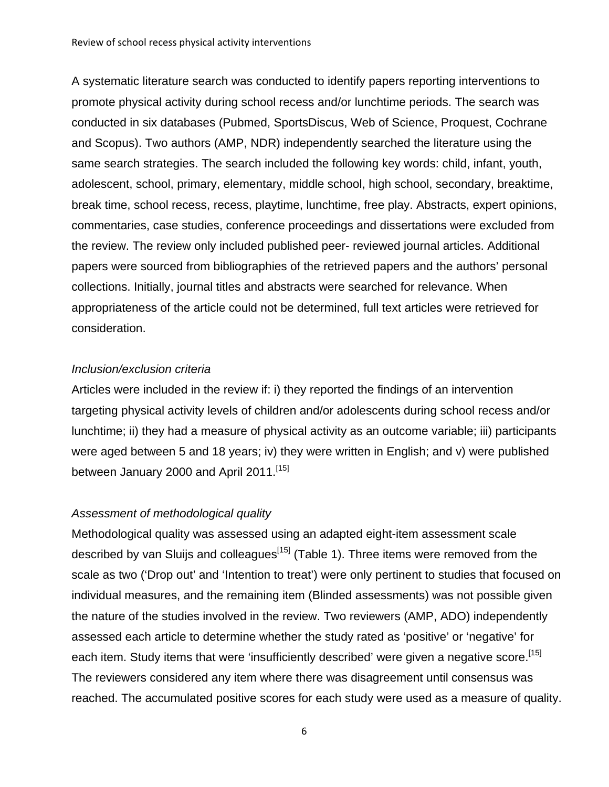A systematic literature search was conducted to identify papers reporting interventions to promote physical activity during school recess and/or lunchtime periods. The search was conducted in six databases (Pubmed, SportsDiscus, Web of Science, Proquest, Cochrane and Scopus). Two authors (AMP, NDR) independently searched the literature using the same search strategies. The search included the following key words: child, infant, youth, adolescent, school, primary, elementary, middle school, high school, secondary, breaktime, break time, school recess, recess, playtime, lunchtime, free play. Abstracts, expert opinions, commentaries, case studies, conference proceedings and dissertations were excluded from the review. The review only included published peer- reviewed journal articles. Additional papers were sourced from bibliographies of the retrieved papers and the authors' personal collections. Initially, journal titles and abstracts were searched for relevance. When appropriateness of the article could not be determined, full text articles were retrieved for consideration.

#### *Inclusion/exclusion criteria*

Articles were included in the review if: i) they reported the findings of an intervention targeting physical activity levels of children and/or adolescents during school recess and/or lunchtime; ii) they had a measure of physical activity as an outcome variable; iii) participants were aged between 5 and 18 years; iv) they were written in English; and v) were published between January 2000 and April 2011.<sup>[15]</sup>

### *Assessment of methodological quality*

Methodological quality was assessed using an adapted eight-item assessment scale described by van Sluijs and colleagues $<sup>[15]</sup>$  (Table 1). Three items were removed from the</sup> scale as two ('Drop out' and 'Intention to treat') were only pertinent to studies that focused on individual measures, and the remaining item (Blinded assessments) was not possible given the nature of the studies involved in the review. Two reviewers (AMP, ADO) independently assessed each article to determine whether the study rated as 'positive' or 'negative' for each item. Study items that were 'insufficiently described' were given a negative score.<sup>[15]</sup> The reviewers considered any item where there was disagreement until consensus was reached. The accumulated positive scores for each study were used as a measure of quality.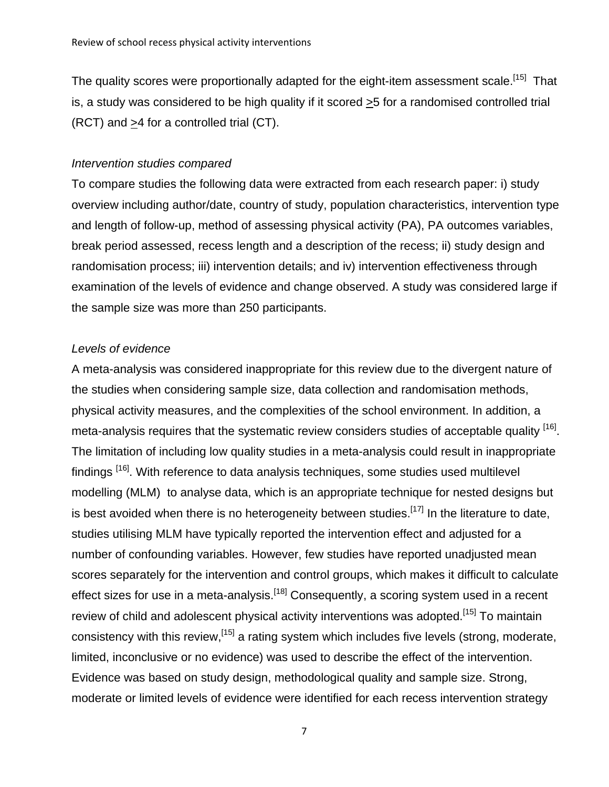The quality scores were proportionally adapted for the eight-item assessment scale.<sup>[15]</sup> That is, a study was considered to be high quality if it scored >5 for a randomised controlled trial (RCT) and >4 for a controlled trial (CT).

#### *Intervention studies compared*

To compare studies the following data were extracted from each research paper: i) study overview including author/date, country of study, population characteristics, intervention type and length of follow-up, method of assessing physical activity (PA), PA outcomes variables, break period assessed, recess length and a description of the recess; ii) study design and randomisation process; iii) intervention details; and iv) intervention effectiveness through examination of the levels of evidence and change observed. A study was considered large if the sample size was more than 250 participants.

#### *Levels of evidence*

A meta-analysis was considered inappropriate for this review due to the divergent nature of the studies when considering sample size, data collection and randomisation methods, physical activity measures, and the complexities of the school environment. In addition, a meta-analysis requires that the systematic review considers studies of acceptable quality <sup>[16]</sup>. The limitation of including low quality studies in a meta-analysis could result in inappropriate findings <sup>[16]</sup>. With reference to data analysis techniques, some studies used multilevel modelling (MLM) to analyse data, which is an appropriate technique for nested designs but is best avoided when there is no heterogeneity between studies.<sup>[17]</sup> In the literature to date, studies utilising MLM have typically reported the intervention effect and adjusted for a number of confounding variables. However, few studies have reported unadjusted mean scores separately for the intervention and control groups, which makes it difficult to calculate effect sizes for use in a meta-analysis.<sup>[18]</sup> Consequently, a scoring system used in a recent review of child and adolescent physical activity interventions was adopted.<sup>[15]</sup> To maintain consistency with this review,[15] a rating system which includes five levels (strong, moderate, limited, inconclusive or no evidence) was used to describe the effect of the intervention. Evidence was based on study design, methodological quality and sample size. Strong, moderate or limited levels of evidence were identified for each recess intervention strategy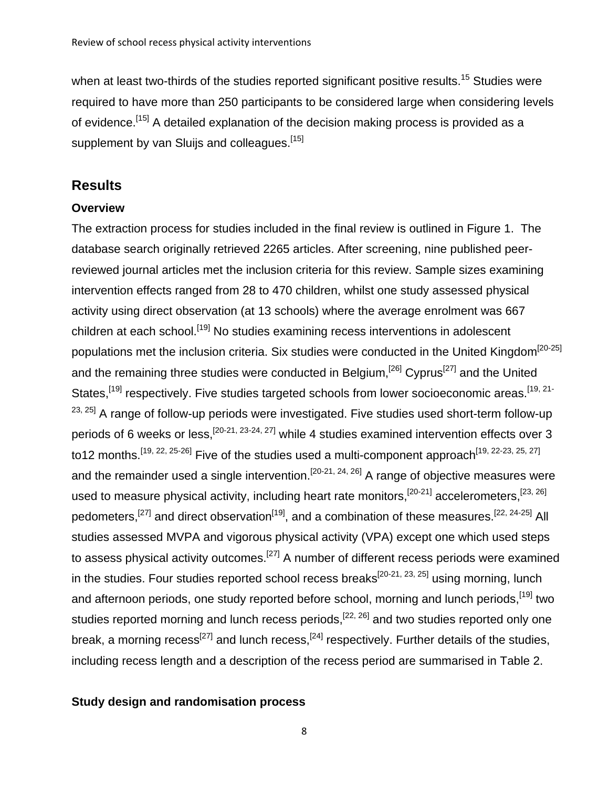when at least two-thirds of the studies reported significant positive results.<sup>15</sup> Studies were required to have more than 250 participants to be considered large when considering levels of evidence.<sup>[15]</sup> A detailed explanation of the decision making process is provided as a supplement by van Sluijs and colleagues.<sup>[15]</sup>

## **Results**

### **Overview**

The extraction process for studies included in the final review is outlined in Figure 1. The database search originally retrieved 2265 articles. After screening, nine published peerreviewed journal articles met the inclusion criteria for this review. Sample sizes examining intervention effects ranged from 28 to 470 children, whilst one study assessed physical activity using direct observation (at 13 schools) where the average enrolment was 667 children at each school.<sup>[19]</sup> No studies examining recess interventions in adolescent populations met the inclusion criteria. Six studies were conducted in the United Kingdom<sup>[20-25]</sup> and the remaining three studies were conducted in Belgium,  $^{[26]}$  Cyprus<sup>[27]</sup> and the United States,<sup>[19]</sup> respectively. Five studies targeted schools from lower socioeconomic areas.<sup>[19, 21-</sup>  $23, 25$ ] A range of follow-up periods were investigated. Five studies used short-term follow-up periods of 6 weeks or less,  $[20-21, 23-24, 27]$  while 4 studies examined intervention effects over 3 to12 months.<sup>[19, 22, 25-26]</sup> Five of the studies used a multi-component approach<sup>[19, 22-23, 25, 27]</sup> and the remainder used a single intervention.<sup>[20-21, 24, 26]</sup> A range of objective measures were used to measure physical activity, including heart rate monitors,<sup>[20-21]</sup> accelerometers,<sup>[23, 26]</sup> pedometers,<sup>[27]</sup> and direct observation<sup>[19]</sup>, and a combination of these measures.<sup>[22, 24-25]</sup> All studies assessed MVPA and vigorous physical activity (VPA) except one which used steps to assess physical activity outcomes.<sup>[27]</sup> A number of different recess periods were examined in the studies. Four studies reported school recess breaks<sup>[20-21, 23, 25]</sup> using morning, lunch and afternoon periods, one study reported before school, morning and lunch periods, <sup>[19]</sup> two studies reported morning and lunch recess periods,<sup>[22, 26]</sup> and two studies reported only one break, a morning recess<sup>[27]</sup> and lunch recess,  $[24]$  respectively. Further details of the studies, including recess length and a description of the recess period are summarised in Table 2.

### **Study design and randomisation process**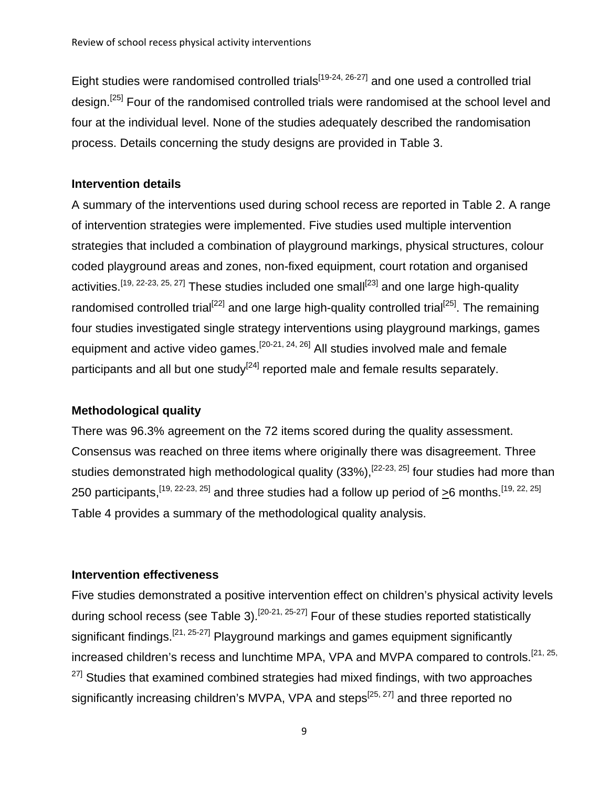Eight studies were randomised controlled trials<sup>[19-24, 26-27]</sup> and one used a controlled trial design.<sup>[25]</sup> Four of the randomised controlled trials were randomised at the school level and four at the individual level. None of the studies adequately described the randomisation process. Details concerning the study designs are provided in Table 3.

#### **Intervention details**

A summary of the interventions used during school recess are reported in Table 2. A range of intervention strategies were implemented. Five studies used multiple intervention strategies that included a combination of playground markings, physical structures, colour coded playground areas and zones, non-fixed equipment, court rotation and organised activities.<sup>[19, 22-23, 25, 27]</sup> These studies included one small<sup>[23]</sup> and one large high-quality randomised controlled trial<sup>[22]</sup> and one large high-quality controlled trial<sup>[25]</sup>. The remaining four studies investigated single strategy interventions using playground markings, games equipment and active video games.<sup>[20-21, 24, 26]</sup> All studies involved male and female participants and all but one study<sup>[24]</sup> reported male and female results separately.

### **Methodological quality**

There was 96.3% agreement on the 72 items scored during the quality assessment. Consensus was reached on three items where originally there was disagreement. Three studies demonstrated high methodological quality (33%),  $^{[22-23, 25]}$  four studies had more than 250 participants,  $[19, 22-23, 25]$  and three studies had a follow up period of >6 months.  $[19, 22, 25]$ Table 4 provides a summary of the methodological quality analysis.

#### **Intervention effectiveness**

Five studies demonstrated a positive intervention effect on children's physical activity levels during school recess (see Table 3).<sup>[20-21, 25-27]</sup> Four of these studies reported statistically significant findings.  $[21, 25-27]$  Playground markings and games equipment significantly increased children's recess and lunchtime MPA, VPA and MVPA compared to controls.<sup>[21, 25,</sup>]  $27$ ] Studies that examined combined strategies had mixed findings, with two approaches significantly increasing children's MVPA, VPA and steps $^{[25, 27]}$  and three reported no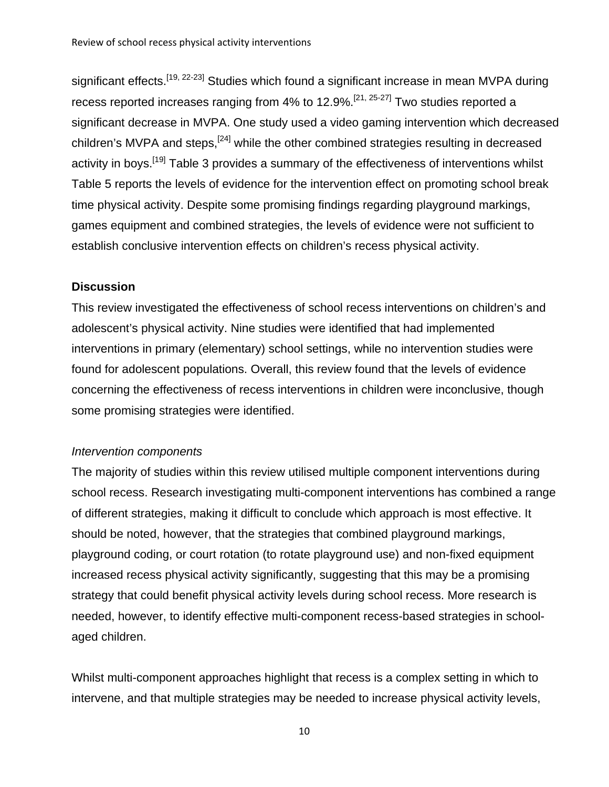significant effects.<sup>[19, 22-23]</sup> Studies which found a significant increase in mean MVPA during recess reported increases ranging from 4% to 12.9%.[21, 25-27] Two studies reported a significant decrease in MVPA. One study used a video gaming intervention which decreased children's MVPA and steps,<sup>[24]</sup> while the other combined strategies resulting in decreased activity in boys.<sup>[19]</sup> Table 3 provides a summary of the effectiveness of interventions whilst Table 5 reports the levels of evidence for the intervention effect on promoting school break time physical activity. Despite some promising findings regarding playground markings, games equipment and combined strategies, the levels of evidence were not sufficient to establish conclusive intervention effects on children's recess physical activity.

#### **Discussion**

This review investigated the effectiveness of school recess interventions on children's and adolescent's physical activity. Nine studies were identified that had implemented interventions in primary (elementary) school settings, while no intervention studies were found for adolescent populations. Overall, this review found that the levels of evidence concerning the effectiveness of recess interventions in children were inconclusive, though some promising strategies were identified.

#### *Intervention components*

The majority of studies within this review utilised multiple component interventions during school recess. Research investigating multi-component interventions has combined a range of different strategies, making it difficult to conclude which approach is most effective. It should be noted, however, that the strategies that combined playground markings, playground coding, or court rotation (to rotate playground use) and non-fixed equipment increased recess physical activity significantly, suggesting that this may be a promising strategy that could benefit physical activity levels during school recess. More research is needed, however, to identify effective multi-component recess-based strategies in schoolaged children.

Whilst multi-component approaches highlight that recess is a complex setting in which to intervene, and that multiple strategies may be needed to increase physical activity levels,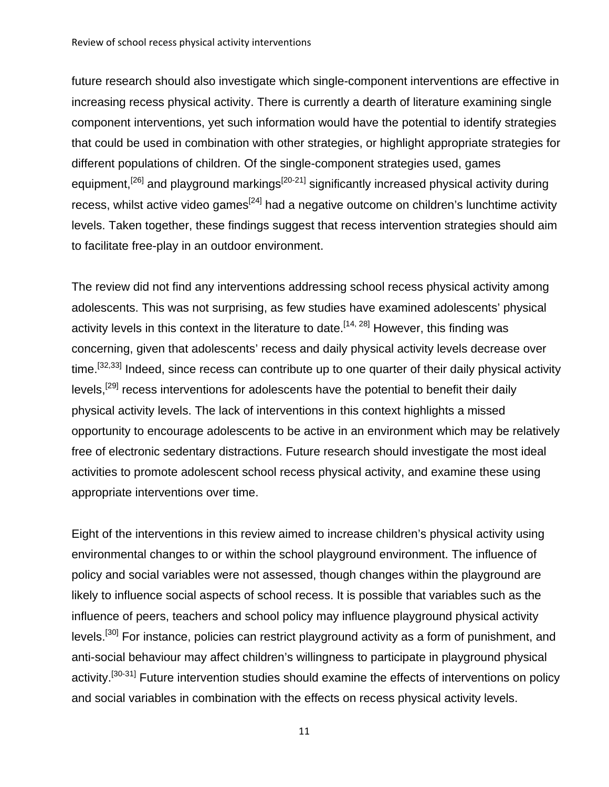future research should also investigate which single-component interventions are effective in increasing recess physical activity. There is currently a dearth of literature examining single component interventions, yet such information would have the potential to identify strategies that could be used in combination with other strategies, or highlight appropriate strategies for different populations of children. Of the single-component strategies used, games equipment,<sup>[26]</sup> and playground markings<sup>[20-21]</sup> significantly increased physical activity during recess, whilst active video games<sup>[24]</sup> had a negative outcome on children's lunchtime activity levels. Taken together, these findings suggest that recess intervention strategies should aim to facilitate free-play in an outdoor environment.

The review did not find any interventions addressing school recess physical activity among adolescents. This was not surprising, as few studies have examined adolescents' physical activity levels in this context in the literature to date.<sup>[14, 28]</sup> However, this finding was concerning, given that adolescents' recess and daily physical activity levels decrease over time.<sup>[32,33]</sup> Indeed, since recess can contribute up to one quarter of their daily physical activity levels,<sup>[29]</sup> recess interventions for adolescents have the potential to benefit their daily physical activity levels. The lack of interventions in this context highlights a missed opportunity to encourage adolescents to be active in an environment which may be relatively free of electronic sedentary distractions. Future research should investigate the most ideal activities to promote adolescent school recess physical activity, and examine these using appropriate interventions over time.

Eight of the interventions in this review aimed to increase children's physical activity using environmental changes to or within the school playground environment. The influence of policy and social variables were not assessed, though changes within the playground are likely to influence social aspects of school recess. It is possible that variables such as the influence of peers, teachers and school policy may influence playground physical activity levels.<sup>[30]</sup> For instance, policies can restrict playground activity as a form of punishment, and anti-social behaviour may affect children's willingness to participate in playground physical activity.<sup>[30-31]</sup> Future intervention studies should examine the effects of interventions on policy and social variables in combination with the effects on recess physical activity levels.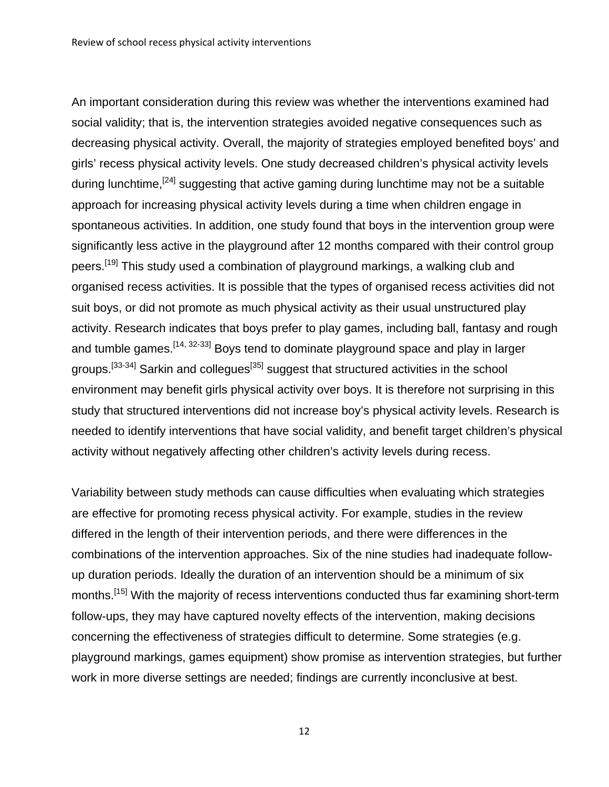An important consideration during this review was whether the interventions examined had social validity; that is, the intervention strategies avoided negative consequences such as decreasing physical activity. Overall, the majority of strategies employed benefited boys' and girls' recess physical activity levels. One study decreased children's physical activity levels during lunchtime,  $[24]$  suggesting that active gaming during lunchtime may not be a suitable approach for increasing physical activity levels during a time when children engage in spontaneous activities. In addition, one study found that boys in the intervention group were significantly less active in the playground after 12 months compared with their control group peers.<sup>[19]</sup> This study used a combination of playground markings, a walking club and organised recess activities. It is possible that the types of organised recess activities did not suit boys, or did not promote as much physical activity as their usual unstructured play activity. Research indicates that boys prefer to play games, including ball, fantasy and rough and tumble games.<sup>[14, 32-33]</sup> Boys tend to dominate playground space and play in larger groups.<sup>[33-34]</sup> Sarkin and collegues<sup>[35]</sup> suggest that structured activities in the school environment may benefit girls physical activity over boys. It is therefore not surprising in this study that structured interventions did not increase boy's physical activity levels. Research is needed to identify interventions that have social validity, and benefit target children's physical activity without negatively affecting other children's activity levels during recess.

Variability between study methods can cause difficulties when evaluating which strategies are effective for promoting recess physical activity. For example, studies in the review differed in the length of their intervention periods, and there were differences in the combinations of the intervention approaches. Six of the nine studies had inadequate followup duration periods. Ideally the duration of an intervention should be a minimum of six months.<sup>[15]</sup> With the majority of recess interventions conducted thus far examining short-term follow-ups, they may have captured novelty effects of the intervention, making decisions concerning the effectiveness of strategies difficult to determine. Some strategies (e.g. playground markings, games equipment) show promise as intervention strategies, but further work in more diverse settings are needed; findings are currently inconclusive at best.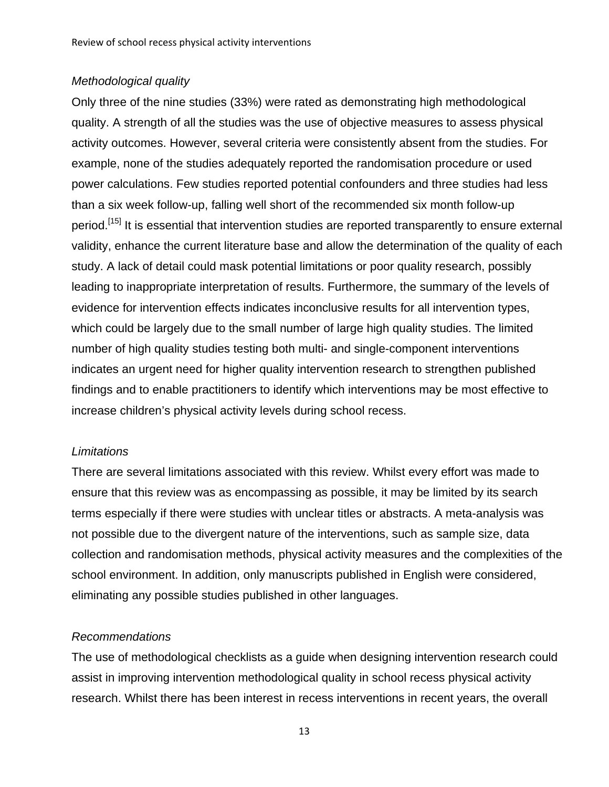#### *Methodological quality*

Only three of the nine studies (33%) were rated as demonstrating high methodological quality. A strength of all the studies was the use of objective measures to assess physical activity outcomes. However, several criteria were consistently absent from the studies. For example, none of the studies adequately reported the randomisation procedure or used power calculations. Few studies reported potential confounders and three studies had less than a six week follow-up, falling well short of the recommended six month follow-up period.[15] It is essential that intervention studies are reported transparently to ensure external validity, enhance the current literature base and allow the determination of the quality of each study. A lack of detail could mask potential limitations or poor quality research, possibly leading to inappropriate interpretation of results. Furthermore, the summary of the levels of evidence for intervention effects indicates inconclusive results for all intervention types, which could be largely due to the small number of large high quality studies. The limited number of high quality studies testing both multi- and single-component interventions indicates an urgent need for higher quality intervention research to strengthen published findings and to enable practitioners to identify which interventions may be most effective to increase children's physical activity levels during school recess.

#### *Limitations*

There are several limitations associated with this review. Whilst every effort was made to ensure that this review was as encompassing as possible, it may be limited by its search terms especially if there were studies with unclear titles or abstracts. A meta-analysis was not possible due to the divergent nature of the interventions, such as sample size, data collection and randomisation methods, physical activity measures and the complexities of the school environment. In addition, only manuscripts published in English were considered, eliminating any possible studies published in other languages.

#### *Recommendations*

The use of methodological checklists as a guide when designing intervention research could assist in improving intervention methodological quality in school recess physical activity research. Whilst there has been interest in recess interventions in recent years, the overall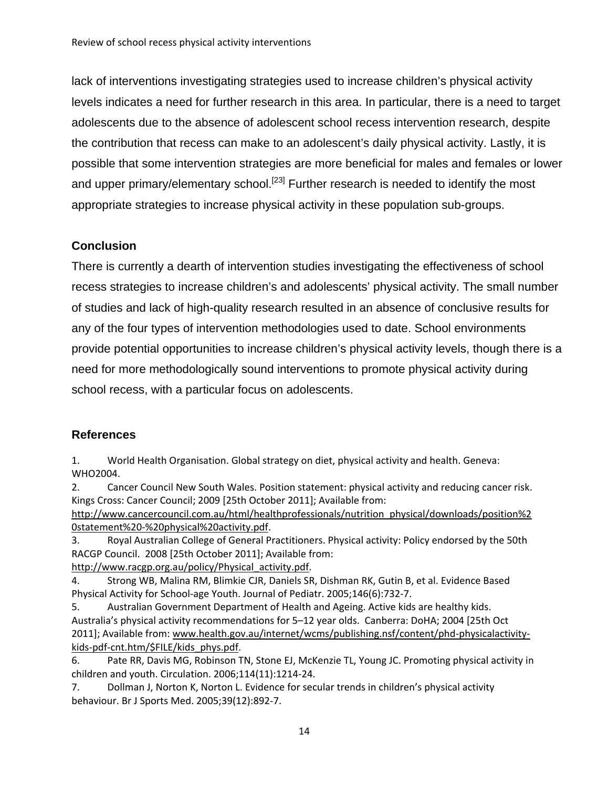lack of interventions investigating strategies used to increase children's physical activity levels indicates a need for further research in this area. In particular, there is a need to target adolescents due to the absence of adolescent school recess intervention research, despite the contribution that recess can make to an adolescent's daily physical activity. Lastly, it is possible that some intervention strategies are more beneficial for males and females or lower and upper primary/elementary school.<sup>[23]</sup> Further research is needed to identify the most appropriate strategies to increase physical activity in these population sub-groups.

## **Conclusion**

There is currently a dearth of intervention studies investigating the effectiveness of school recess strategies to increase children's and adolescents' physical activity. The small number of studies and lack of high-quality research resulted in an absence of conclusive results for any of the four types of intervention methodologies used to date. School environments provide potential opportunities to increase children's physical activity levels, though there is a need for more methodologically sound interventions to promote physical activity during school recess, with a particular focus on adolescents.

### **References**

1. World Health Organisation. Global strategy on diet, physical activity and health. Geneva: WHO2004.

2. Cancer Council New South Wales. Position statement: physical activity and reducing cancer risk. Kings Cross: Cancer Council; 2009 [25th October 2011]; Available from:

http://www.cancercouncil.com.au/html/healthprofessionals/nutrition\_physical/downloads/position%2 0statement%20‐%20physical%20activity.pdf.

3. Royal Australian College of General Practitioners. Physical activity: Policy endorsed by the 50th RACGP Council. 2008 [25th October 2011]; Available from:

http://www.racgp.org.au/policy/Physical\_activity.pdf.

4. Strong WB, Malina RM, Blimkie CJR, Daniels SR, Dishman RK, Gutin B, et al. Evidence Based Physical Activity for School‐age Youth. Journal of Pediatr. 2005;146(6):732‐7.

5. Australian Government Department of Health and Ageing. Active kids are healthy kids. Australia's physical activity recommendations for 5–12 year olds. Canberra: DoHA; 2004 [25th Oct 2011]; Available from: www.health.gov.au/internet/wcms/publishing.nsf/content/phd‐physicalactivity‐ kids‐pdf‐cnt.htm/\$FILE/kids\_phys.pdf.

6. Pate RR, Davis MG, Robinson TN, Stone EJ, McKenzie TL, Young JC. Promoting physical activity in children and youth. Circulation. 2006;114(11):1214‐24.

7. Dollman J, Norton K, Norton L. Evidence for secular trends in children's physical activity behaviour. Br J Sports Med. 2005;39(12):892‐7.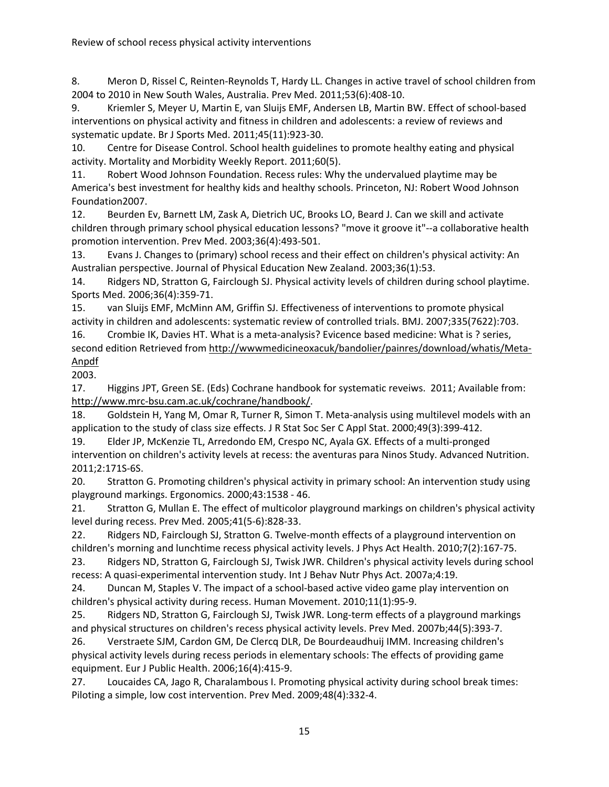8. Meron D, Rissel C, Reinten-Reynolds T, Hardy LL. Changes in active travel of school children from 2004 to 2010 in New South Wales, Australia. Prev Med. 2011;53(6):408‐10.

9. Kriemler S, Meyer U, Martin E, van Sluijs EMF, Andersen LB, Martin BW. Effect of school-based interventions on physical activity and fitness in children and adolescents: a review of reviews and systematic update. Br J Sports Med. 2011;45(11):923‐30.

10. Centre for Disease Control. School health guidelines to promote healthy eating and physical activity. Mortality and Morbidity Weekly Report. 2011;60(5).

11. Robert Wood Johnson Foundation. Recess rules: Why the undervalued playtime may be America's best investment for healthy kids and healthy schools. Princeton, NJ: Robert Wood Johnson Foundation2007.

12. Beurden Ev, Barnett LM, Zask A, Dietrich UC, Brooks LO, Beard J. Can we skill and activate children through primary school physical education lessons? "move it groove it"‐‐a collaborative health promotion intervention. Prev Med. 2003;36(4):493‐501.

13. Evans J. Changes to (primary) school recess and their effect on children's physical activity: An Australian perspective. Journal of Physical Education New Zealand. 2003;36(1):53.

14. Ridgers ND, Stratton G, Fairclough SJ. Physical activity levels of children during school playtime. Sports Med. 2006;36(4):359‐71.

15. van Sluijs EMF, McMinn AM, Griffin SJ. Effectiveness of interventions to promote physical activity in children and adolescents: systematic review of controlled trials. BMJ. 2007;335(7622):703.

16. Crombie IK, Davies HT. What is a meta-analysis? Evicence based medicine: What is ? series, second edition Retrieved from http://wwwmedicineoxacuk/bandolier/painres/download/whatis/Meta‐ Anpdf

2003.

17. Higgins JPT, Green SE. (Eds) Cochrane handbook for systematic reveiws. 2011; Available from: http://www.mrc‐bsu.cam.ac.uk/cochrane/handbook/.

18. Goldstein H, Yang M, Omar R, Turner R, Simon T. Meta-analysis using multilevel models with an application to the study of class size effects. J R Stat Soc Ser C Appl Stat. 2000;49(3):399‐412.

19. Elder JP, McKenzie TL, Arredondo EM, Crespo NC, Ayala GX. Effects of a multi‐pronged intervention on children's activity levels at recess: the aventuras para Ninos Study. Advanced Nutrition. 2011;2:171S‐6S.

20. Stratton G. Promoting children's physical activity in primary school: An intervention study using playground markings. Ergonomics. 2000;43:1538 ‐ 46.

21. Stratton G, Mullan E. The effect of multicolor playground markings on children's physical activity level during recess. Prev Med. 2005;41(5‐6):828‐33.

22. Ridgers ND, Fairclough SJ, Stratton G. Twelve-month effects of a playground intervention on children's morning and lunchtime recess physical activity levels. J Phys Act Health. 2010;7(2):167‐75.

23. Ridgers ND, Stratton G, Fairclough SJ, Twisk JWR. Children's physical activity levels during school recess: A quasi‐experimental intervention study. Int J Behav Nutr Phys Act. 2007a;4:19.

24. Duncan M, Staples V. The impact of a school-based active video game play intervention on children's physical activity during recess. Human Movement. 2010;11(1):95‐9.

25. Ridgers ND, Stratton G, Fairclough SJ, Twisk JWR. Long-term effects of a playground markings and physical structures on children's recess physical activity levels. Prev Med. 2007b;44(5):393‐7.

26. Verstraete SJM, Cardon GM, De Clercq DLR, De Bourdeaudhuij IMM. Increasing children's physical activity levels during recess periods in elementary schools: The effects of providing game equipment. Eur J Public Health. 2006;16(4):415‐9.

27. Loucaides CA, Jago R, Charalambous I. Promoting physical activity during school break times: Piloting a simple, low cost intervention. Prev Med. 2009;48(4):332‐4.